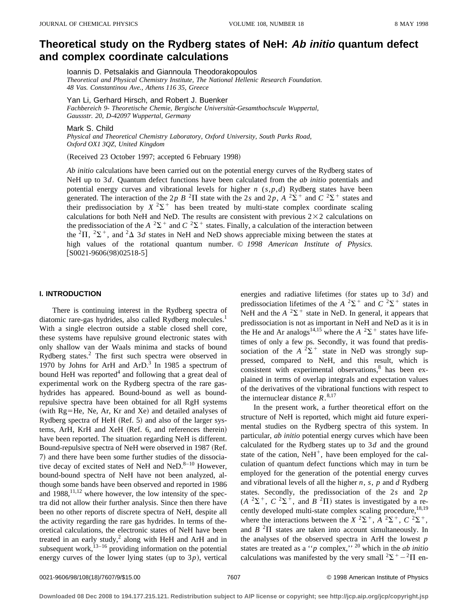# **Theoretical study on the Rydberg states of NeH: Ab initio quantum defect and complex coordinate calculations**

Ioannis D. Petsalakis and Giannoula Theodorakopoulos

*Theoretical and Physical Chemistry Institute, The National Hellenic Research Foundation. 48 Vas. Constantinou Ave., Athens 116 35, Greece*

Yan Li, Gerhard Hirsch, and Robert J. Buenker

Fachbereich 9- Theoretische Chemie, Bergische Universität-Gesamthochscule Wuppertal, *Gaussstr. 20, D-42097 Wuppertal, Germany*

Mark S. Child

*Physical and Theoretical Chemistry Laboratory, Oxford University, South Parks Road, Oxford OX1 3QZ, United Kingdom*

(Received 23 October 1997; accepted 6 February 1998)

*Ab initio* calculations have been carried out on the potential energy curves of the Rydberg states of NeH up to 3*d*. Quantum defect functions have been calculated from the *ab initio* potentials and potential energy curves and vibrational levels for higher *n* (*s*,*p*,*d*) Rydberg states have been generated. The interaction of the 2*p B* <sup>2</sup> $\Pi$  state with the 2*s* and 2*p*, *A* <sup>2</sup> $\Sigma$ <sup>+</sup> and *C* <sup>2</sup> $\Sigma$ <sup>+</sup> states and their predissociation by  $X^2\Sigma^+$  has been treated by multi-state complex coordinate scaling calculations for both NeH and NeD. The results are consistent with previous  $2\times 2$  calculations on the predissociation of the *A*  ${}^{2}\Sigma^{+}$  and *C*  ${}^{2}\Sigma^{+}$  states. Finally, a calculation of the interaction between the <sup>2</sup> $\Pi$ , <sup>2</sup> $\Sigma$ <sup>+</sup>, and <sup>2</sup> $\Delta$  3*d* states in NeH and NeD shows appreciable mixing between the states at high values of the rotational quantum number. © *1998 American Institute of Physics.*  $[$ S0021-9606 $(98)$ 02518-5 $]$ 

## **I. INTRODUCTION**

There is continuing interest in the Rydberg spectra of diatomic rare-gas hydrides, also called Rydberg molecules.<sup>1</sup> With a single electron outside a stable closed shell core, these systems have repulsive ground electronic states with only shallow van der Waals minima and stacks of bound Rydberg states.2 The first such spectra were observed in 1970 by Johns for ArH and  $ArD$ <sup>3</sup> In 1985 a spectrum of bound HeH was reported $4$  and following that a great deal of experimental work on the Rydberg spectra of the rare gashydrides has appeared. Bound-bound as well as boundrepulsive spectra have been obtained for all RgH systems (with  $Rg=He$ , Ne, Ar, Kr and Xe) and detailed analyses of Rydberg spectra of HeH (Ref. 5) and also of the larger systems, ArH, KrH and XeH (Ref. 6, and references therein) have been reported. The situation regarding NeH is different. Bound-repulsive spectra of NeH were observed in 1987 (Ref. 7) and there have been some further studies of the dissociative decay of excited states of NeH and NeD. $8-10$  However, bound-bound spectra of NeH have not been analyzed, although some bands have been observed and reported in 1986 and  $1988$ ,  $^{11,12}$  where however, the low intensity of the spectra did not allow their further analysis. Since then there have been no other reports of discrete spectra of NeH, despite all the activity regarding the rare gas hydrides. In terms of theoretical calculations, the electronic states of NeH have been treated in an early study, $2$  along with HeH and ArH and in subsequent work, $13-16$  providing information on the potential energy curves of the lower lying states (up to  $3p$ ), vertical

energies and radiative lifetimes (for states up to  $3d$ ) and predissociation lifetimes of the *A*  ${}^{2}\Sigma^{+}$  and *C*  ${}^{2}\Sigma^{+}$  states in NeH and the  $A^2\Sigma^+$  state in NeD. In general, it appears that predissociation is not as important in NeH and NeD as it is in the He and Ar analogs<sup>14,15</sup> where the  $A^{-2}\Sigma^{+}$  states have lifetimes of only a few ps. Secondly, it was found that predissociation of the  $A^2\Sigma^+$  state in NeD was strongly suppressed, compared to NeH, and this result, which is consistent with experimental observations, $8$  has been explained in terms of overlap integrals and expectation values of the derivatives of the vibrational functions with respect to the internuclear distance  $R$ .<sup>8,17</sup>

In the present work, a further theoretical effort on the structure of NeH is reported, which might aid future experimental studies on the Rydberg spectra of this system. In particular, *ab initio* potential energy curves which have been calculated for the Rydberg states up to 3*d* and the ground state of the cation,  $N$ eH<sup>+</sup>, have been employed for the calculation of quantum defect functions which may in turn be employed for the generation of the potential energy curves and vibrational levels of all the higher *n*, *s*, *p* and *d* Rydberg states. Secondly, the predissociation of the 2*s* and 2*p*  $(A^{2}\Sigma^{+}, C^{2}\Sigma^{+},$  and  $B^{2}\Pi)$  states is investigated by a recently developed multi-state complex scaling procedure,  $^{18,19}$ where the interactions between the  $X^2\Sigma^+$ ,  $A^2\Sigma^+$ ,  $C^2\Sigma^+$ , and  $B<sup>2</sup>\Pi$  states are taken into account simultaneously. In the analyses of the observed spectra in ArH the lowest *p* states are treated as a ''*p* complex,'' <sup>20</sup> which in the *ab initio* calculations was manifested by the very small  ${}^{2}\Sigma^{+}-{}^{2}\Pi$  en-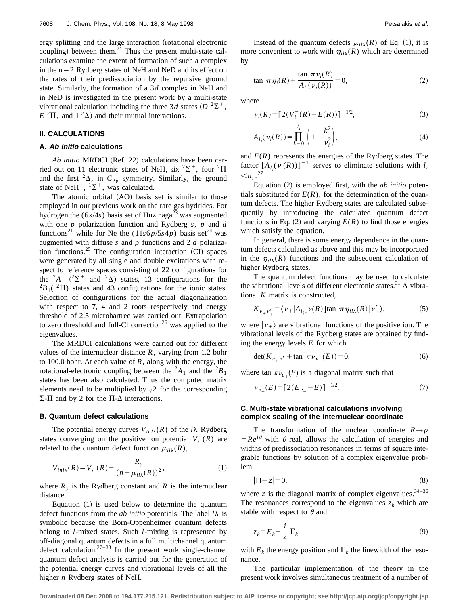ergy splitting and the large interaction (rotational electronic coupling) between them. $^{21}$  Thus the present multi-state calculations examine the extent of formation of such a complex in the  $n=2$  Rydberg states of NeH and NeD and its effect on the rates of their predissociation by the repulsive ground state. Similarly, the formation of a 3*d* complex in NeH and in NeD is investigated in the present work by a multi-state vibrational calculation including the three 3*d* states  $(D^{2}\Sigma^{+})$ ,  $E^{2}\Pi$ , and  $1^{2}\Delta$ ) and their mutual interactions.

## **II. CALCULATIONS**

#### **A. Ab initio calculations**

*Ab initio* MRDCI (Ref. 22) calculations have been carried out on 11 electronic states of NeH, six  ${}^{2}\Sigma^{+}$ , four  ${}^{2}\Pi$ and the first  ${}^2\Delta$ , in  $C_{2v}$  symmetry. Similarly, the ground state of NeH<sup>+</sup>,  $^1\Sigma$ <sup>+</sup>, was calculated.

The atomic orbital (AO) basis set is similar to those employed in our previous work on the rare gas hydrides. For hydrogen the  $(6s/4s)$  basis set of Huzinaga<sup>23</sup> was augmented with one *p* polarization function and Rydberg *s*, *p* and *d* functions<sup>21</sup> while for Ne the  $(11s6p/5s4p)$  basis set<sup>24</sup> was augmented with diffuse *s* and *p* functions and 2 *d* polarization functions.<sup>25</sup> The configuration interaction  $(CI)$  spaces were generated by all single and double excitations with respect to reference spaces consisting of 22 configurations for the  ${}^{2}A_{1}$  ( ${}^{2}\Sigma^{+}$  and  ${}^{2}\Delta$ ) states, 13 configurations for the  ${}^{2}B_{1}($  ${}^{2}\Pi$ ) states and 43 configurations for the ionic states. Selection of configurations for the actual diagonalization with respect to 7, 4 and 2 roots respectively and energy threshold of 2.5 microhartree was carried out. Extrapolation to zero threshold and full-Cl correction<sup>26</sup> was applied to the eigenvalues.

The MRDCI calculations were carried out for different values of the internuclear distance  $R$ , varying from 1.2 bohr to 100.0 bohr. At each value of *R*, along with the energy, the rotational-electronic coupling between the  ${}^2A_1$  and the  ${}^2B_1$ states has been also calculated. Thus the computed matrix elements need to be multiplied by  $\sqrt{2}$  for the corresponding  $\Sigma$ - $\Pi$  and by 2 for the  $\Pi$ - $\Delta$  interactions.

#### **B. Quantum defect calculations**

The potential energy curves  $V_{inl\lambda}(R)$  of the *l* $\lambda$  Rydberg states converging on the positive ion potential  $V_i^+(R)$  are related to the quantum defect function  $\mu_{i l}(\mathbf{R})$ ,

$$
V_{inl\lambda}(R) = V_i^+(R) - \frac{R_y}{(n - \mu_{il\lambda}(R))^2},
$$
\n(1)

where  $R<sub>y</sub>$  is the Rydberg constant and  $R$  is the internuclear distance.

Equation  $(1)$  is used below to determine the quantum defect functions from the *ab initio* potentials. The label  $l\lambda$  is symbolic because the Born-Oppenheimer quantum defects belong to *l*-mixed states. Such *l*-mixing is represented by off-diagonal quantum defects in a full multichannel quantum defect calculation. $27-33$  In the present work single-channel quantum defect analysis is carried out for the generation of the potential energy curves and vibrational levels of all the higher *n* Rydberg states of NeH.

Instead of the quantum defects  $\mu_{il\lambda}(R)$  of Eq. (1), it is more convenient to work with  $\eta_{i l}(\mathbf{R})$  which are determined by

$$
\tan \pi \eta_i(R) + \frac{\tan \pi \nu_i(R)}{A_{l_i}(\nu_i(R))} = 0,
$$
\n(2)

where

$$
\nu_i(R) = [2(V_i^+(R) - E(R))]^{-1/2},\tag{3}
$$

$$
A_{l_i}(\nu_i(R)) = \prod_{k=0}^{l_i} \left(1 - \frac{k^2}{\nu_i^2}\right),\tag{4}
$$

and  $E(R)$  represents the energies of the Rydberg states. The factor  $[A_{l_i}(v_i(R))]^{-1}$  serves to eliminate solutions with  $l_i$  $\langle n_i \rangle^{27}$ 

Equation (2) is employed first, with the *ab initio* potentials substituted for  $E(R)$ , for the determination of the quantum defects. The higher Rydberg states are calculated subsequently by introducing the calculated quantum defect functions in Eq. (2) and varying  $E(R)$  to find those energies which satisfy the equation.

In general, there is some energy dependence in the quantum defects calculated as above and this may be incorporated in the  $\eta_{il\lambda}(R)$  functions and the subsequent calculation of higher Rydberg states.

The quantum defect functions may be used to calculate the vibrational levels of different electronic states.<sup>31</sup> A vibrational *K* matrix is constructed,

$$
K_{\nu_{+}\nu'_{+}} = \langle \nu_{+}|A_{l_{i}}[\nu(R)]\tan \pi \eta_{il\lambda}(R)|\nu'_{+}\rangle, \tag{5}
$$

where  $|\nu_{+}\rangle$  are vibrational functions of the positive ion. The vibrational levels of the Rydberg states are obtained by finding the energy levels *E* for which

$$
\det(K_{\nu_+\nu'_+} + \tan \pi \nu_{\nu_+}(E)) = 0,\tag{6}
$$

where tan  $\pi \nu_{v}$ <sub>1</sub>(*E*) is a diagonal matrix such that

$$
\nu_{\nu_{+}}(E) = [2(E_{\nu_{+}} - E)]^{-1/2}.
$$
 (7)

# **C. Multi-state vibrational calculations involving complex scaling of the internuclear coordinate**

The transformation of the nuclear coordinate  $R \rightarrow \rho$  $=Re^{i\theta}$  with  $\theta$  real, allows the calculation of energies and widths of predissociation resonances in terms of square integrable functions by solution of a complex eigenvalue problem

$$
|\mathbf{H} - \mathbf{z}| = 0,\tag{8}
$$

where  $z$  is the diagonal matrix of complex eigenvalues.<sup>34-36</sup> The resonances correspond to the eigenvalues  $z_k$  which are stable with respect to  $\theta$  and

$$
z_k = E_k - \frac{i}{2} \Gamma_k \tag{9}
$$

with  $E_k$  the energy position and  $\Gamma_k$  the linewidth of the resonance.

The particular implementation of the theory in the present work involves simultaneous treatment of a number of

**Downloaded 08 Dec 2008 to 194.177.215.121. Redistribution subject to AIP license or copyright; see http://jcp.aip.org/jcp/copyright.jsp**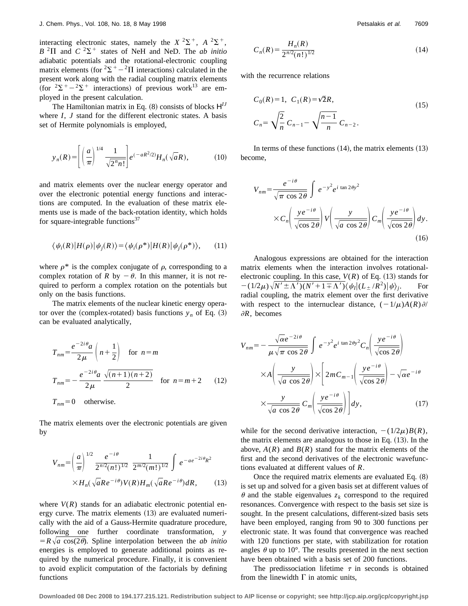interacting electronic states, namely the  $X^2\Sigma^+$ ,  $A^2\Sigma^+$ ,  $B^{2}\Pi$  and  $C^{2}\Sigma^{+}$  states of NeH and NeD. The *ab initio* adiabatic potentials and the rotational-electronic coupling matrix elements (for  ${}^{2}\Sigma^{+}-{}^{2}\Pi$  interactions) calculated in the present work along with the radial coupling matrix elements (for  $2\Sigma^+ - 2\Sigma^+$  interactions) of previous work<sup>13</sup> are employed in the present calculation.

The Hamiltonian matrix in Eq.  $(8)$  consists of blocks  $H<sup>IJ</sup>$ where *I*, *J* stand for the different electronic states. A basis set of Hermite polynomials is employed,

$$
y_n(R) = \left[ \left( \frac{a}{\pi} \right)^{1/4} \frac{1}{\sqrt{2^n n!}} \right] e^{(-aR^2/2)} H_n(\sqrt{a}R), \tag{10}
$$

and matrix elements over the nuclear energy operator and over the electronic potential energy functions and interactions are computed. In the evaluation of these matrix elements use is made of the back-rotation identity, which holds for square-integrable functions $37$ 

$$
\langle \psi_i(R) | H(\rho) | \psi_j(R) \rangle = \langle \psi_i(\rho^*) | H(R) | \psi_j(\rho^*) \rangle, \qquad (11)
$$

where  $\rho^*$  is the complex conjugate of  $\rho$ , corresponding to a complex rotation of *R* by  $-\theta$ . In this manner, it is not required to perform a complex rotation on the potentials but only on the basis functions.

The matrix elements of the nuclear kinetic energy operator over the (complex-rotated) basis functions  $y_n$  of Eq. (3) can be evaluated analytically,

$$
T_{nm} = \frac{e^{-2i\theta}a}{2\mu} \left(n + \frac{1}{2}\right) \quad \text{for } n = m
$$
  

$$
T_{nm} = -\frac{e^{-2i\theta}a}{2\mu} \frac{\sqrt{(n+1)(n+2)}}{2} \quad \text{for } n = m+2 \qquad (12)
$$

 $T_{nm}$ =0 otherwise.

The matrix elements over the electronic potentials are given by

$$
V_{nm} = \left(\frac{a}{\pi}\right)^{1/2} \frac{e^{-i\theta}}{2^{n/2}(n!)^{1/2}} \frac{1}{2^{m/2}(m!)^{1/2}} \int e^{-ae^{-2i\theta}R^2}
$$
  
× $H_n(\sqrt{a}Re^{-i\theta})V(R)H_m(\sqrt{a}Re^{-i\theta})dR,$  (13)

where  $V(R)$  stands for an adiabatic electronic potential energy curve. The matrix elements  $(13)$  are evaluated numerically with the aid of a Gauss-Hermite quadrature procedure, following one further coordinate transformation, *y*  $= R \sqrt{a} \cos(2\theta)$ . Spline interpolation between the *ab initio* energies is employed to generate additional points as required by the numerical procedure. Finally, it is convenient to avoid explicit computation of the factorials by defining functions

$$
C_n(R) = \frac{H_n(R)}{2^{n/2}(n!)^{1/2}}
$$
\n(14)

with the recurrence relations

$$
C_0(R) = 1, \ C_1(R) = \sqrt{2}R,
$$
  

$$
C_n = \sqrt{\frac{2}{n}} C_{n-1} - \sqrt{\frac{n-1}{n}} C_{n-2}.
$$
 (15)

In terms of these functions  $(14)$ , the matrix elements  $(13)$ become,

$$
V_{nm} = \frac{e^{-i\theta}}{\sqrt{\pi \cos 2\theta}} \int e^{-y^2} e^{i \tan 2\theta y^2}
$$

$$
\times C_n \left( \frac{y e^{-i\theta}}{\sqrt{\cos 2\theta}} \right) V \left( \frac{y}{\sqrt{a \cos 2\theta}} \right) C_m \left( \frac{y e^{-i\theta}}{\sqrt{\cos 2\theta}} \right) dy.
$$
(16)

Analogous expressions are obtained for the interaction matrix elements when the interaction involves rotationalelectronic coupling. In this case,  $V(R)$  of Eq. (13) stands for  $-(1/2\mu)\sqrt{N'\pm\Lambda'$ ) $(N'+1\mp\Lambda')\langle\psi_I|(L_{\pm}/R^2)|\psi\rangle_i$ . For radial coupling, the matrix element over the first derivative with respect to the internuclear distance,  $(-1/\mu)A(R)\partial P$  $\partial R$ , becomes

$$
V_{nm} = -\frac{\sqrt{\alpha}e^{-2i\theta}}{\mu\sqrt{\pi \cos 2\theta}} \int e^{-y^2} e^{i \tan 2\theta y^2} C_n \left( \frac{y e^{-i\theta}}{\sqrt{\cos 2\theta}} \right)
$$

$$
\times A \left( \frac{y}{\sqrt{a \cos 2\theta}} \right) \times \left[ 2m C_{m-1} \left( \frac{y e^{-i\theta}}{\sqrt{\cos 2\theta}} \right) - \sqrt{\alpha}e^{-i\theta} \right)
$$

$$
\times \frac{y}{\sqrt{a \cos 2\theta}} C_m \left( \frac{y e^{-i\theta}}{\sqrt{\cos 2\theta}} \right) \Bigg] dy, \qquad (17)
$$

while for the second derivative interaction,  $-(1/2\mu)B(R)$ , the matrix elements are analogous to those in Eq.  $(13)$ . In the above,  $A(R)$  and  $B(R)$  stand for the matrix elements of the first and the second derivatives of the electronic wavefunctions evaluated at different values of *R*.

Once the required matrix elements are evaluated Eq.  $(8)$ is set up and solved for a given basis set at different values of  $\theta$  and the stable eigenvalues  $z_k$  correspond to the required resonances. Convergence with respect to the basis set size is sought. In the present calculations, different-sized basis sets have been employed, ranging from 90 to 300 functions per electronic state. It was found that convergence was reached with 120 functions per state, with stabilization for rotation angles  $\theta$  up to 10°. The results presented in the next section have been obtained with a basis set of 200 functions.

The predissociation lifetime  $\tau$  in seconds is obtained from the linewidth  $\Gamma$  in atomic units,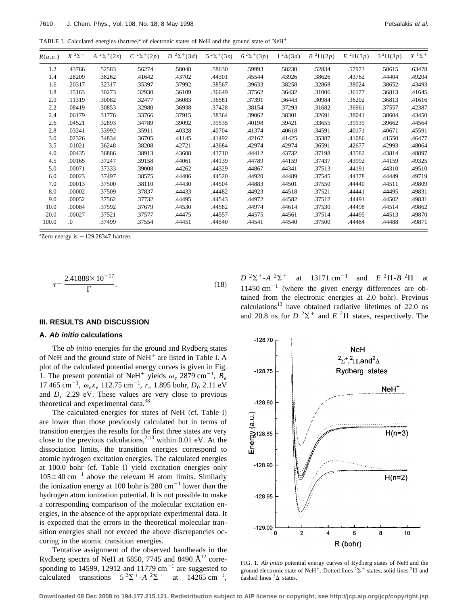TABLE I. Calculated energies (hartree)<sup>a</sup> of electronic states of NeH and the ground state of NeH<sup>+</sup>.

| R(a.u.) | $X^2\Sigma^+$ | $2\Sigma^{+}(2s)$<br>$\boldsymbol{A}$ | $C^{2}\Sigma^{+}(2p)$ | $D^{2}\Sigma^{+}(3d)$ | $5^{2} \Sigma^{+}(3s)$ | $6^{2} \Sigma^{+}(3p)$ | $1^2\Delta(3d)$ | $B^2\Pi(2p)$ | $E^2\Pi(3p)$ | $3^{2}\Pi(3p)$ | $X$ <sup>1</sup> $\Sigma$ <sup>+</sup> |
|---------|---------------|---------------------------------------|-----------------------|-----------------------|------------------------|------------------------|-----------------|--------------|--------------|----------------|----------------------------------------|
| 1.2     | .43766        | .52583                                | .56274                | .58048                | .58630                 | .59993                 | .58230          | .52834       | .57973       | .58615         | .63478                                 |
| 1.4     | .28209        | .38262                                | .41642                | .43702                | .44301                 | .45544                 | .43926          | .38626       | .43762       | .44404         | .49204                                 |
| 1.6     | .20317        | .32317                                | .35397                | .37992                | .38567                 | .39633                 | .38258          | .32868       | .38024       | .38652         | .43493                                 |
| 1.8     | .15163        | .30273                                | .32930                | .36109                | .36649                 | .37562                 | .36432          | .31006       | .36177       | .36813         | .41645                                 |
| 2.0     | .11319        | .30082                                | .32477                | .36083                | .36581                 | .37391                 | .36443          | .30984       | .36202       | .36813         | .41616                                 |
| 2.2     | .08419        | .30853                                | .32980                | .36938                | .37428                 | .38154                 | .37293          | .31682       | .36961       | .37557         | .42387                                 |
| 2.4     | .06179        | .31776                                | .33766                | .37915                | .38364                 | .39062                 | .38301          | .32691       | .38041       | .38604         | .43450                                 |
| 2.6     | .04521        | .32893                                | .34789                | .39092                | .39535                 | .40198                 | .39421          | .33655       | .39139       | .39662         | .44564                                 |
| 2.8     | .03241        | .33992                                | .35911                | .40328                | .40704                 | .41374                 | .40618          | .34591       | .40171       | .40671         | .45591                                 |
| 3.0     | .02326        | .34834                                | .36705                | .41145                | .41492                 | .42167                 | .41425          | .35387       | .41086       | .41550         | .46477                                 |
| 3.5     | .01021        | .36248                                | .38208                | .42721                | .43684                 | .42974                 | .42974          | .36591       | .42677       | .42993         | .48064                                 |
| 4.0     | .00435        | .36886                                | .38913                | .43608                | .43710                 | .44412                 | .43732          | .37198       | .43582       | .43814         | .48897                                 |
| 4.5     | .00165        | .37247                                | .39158                | .44061                | .44139                 | .44789                 | .44159          | .37437       | .43992       | .44159         | .49325                                 |
| 5.0     | .00071        | .37333                                | .39008                | .44262                | .44329                 | .44867                 | .44341          | .37513       | .44191       | .44310         | .49510                                 |
| 6.0     | .00023        | .37497                                | .38575                | .44406                | .44520                 | .44920                 | .44489          | .37545       | .44378       | .44449         | .49719                                 |
| 7.0     | .00013        | .37500                                | .38110                | .44430                | .44504                 | .44883                 | .44501          | .37550       | .44440       | .44511         | .49809                                 |
| 8.0     | .00002        | .37509                                | .37837                | .44433                | .44482                 | .44923                 | .44518          | .37521       | .44441       | .44495         | .49831                                 |
| 9.0     | .00052        | .37562                                | .37732                | .44495                | .44543                 | .44972                 | .44582          | .37512       | .44491       | .44502         | .49831                                 |
| 10.0    | .00084        | .37592                                | .37679                | .44530                | .44582                 | .44974                 | .44614          | .37530       | .44498       | .44514         | .49862                                 |
| 20.0    | .00027        | .37521                                | .37577                | .44475                | .44557                 | .44575                 | .44561          | .37514       | .44495       | .44513         | .49870                                 |
| 100.0   | $\Omega$ .    | .37499                                | .37554                | .44451                | .44540                 | .44541                 | .44540          | .37500       | .44484       | .44488         | .49871                                 |

 ${}^{a}$ Zero energy is  $-129.28347$  hartree.

$$
\tau = \frac{2.41888 \times 10^{-17}}{\Gamma}.
$$
\n(18)

#### **III. RESULTS AND DISCUSSION**

#### **A. Ab initio calculations**

The *ab initio* energies for the ground and Rydberg states of NeH and the ground state of NeH $^+$  are listed in Table I. A plot of the calculated potential energy curves is given in Fig. 1. The present potential of NeH<sup>+</sup> yields  $\omega_e$  2879 cm<sup>-1</sup>,  $B_e$ 17.465 cm<sup>-1</sup>,  $\omega_e x_e$  112.75 cm<sup>-1</sup>,  $r_e$  1.895 bohr,  $D_0$  2.11 eV and *De* 2.29 eV. These values are very close to previous theoretical and experimental data.<sup>38</sup>

The calculated energies for states of NeH (cf. Table I) are lower than those previously calculated but in terms of transition energies the results for the first three states are very close to the previous calculations,<sup>2,13</sup> within 0.01 eV. At the dissociation limits, the transition energies correspond to atomic hydrogen excitation energies. The calculated energies at 100.0 bohr (cf. Table I) yield excitation energies only  $105 \pm 40$  cm<sup>-1</sup> above the relevant H atom limits. Similarly the ionization energy at 100 bohr is  $280 \text{ cm}^{-1}$  lower than the hydrogen atom ionization potential. It is not possible to make a corresponding comparison of the molecular excitation energies, in the absence of the appropriate experimental data. It is expected that the errors in the theoretical molecular transition energies shall not exceed the above discrepancies occuring in the atomic transition energies.

Tentative assignment of the observed bandheads in the Rydberg spectra of NeH at 6850, 7745 and 8490  $\AA$ <sup>12</sup> corresponding to 14599, 12912 and 11779  $cm^{-1}$  are suggested to calculated transitions  $5^{2}\Sigma^{+}$ -*A* <sup>2</sup> $\Sigma^{+}$ at  $14265 \text{ cm}^{-1}$ ,

 $D^{2}\Sigma^{+}$ -*A* <sup>2</sup> $\Sigma^{+}$  at 13171 cm<sup>-1</sup> and *E* <sup>2</sup> $\Pi$ -*B* <sup>2</sup> $\Pi$  at  $11450 cm^{-1}$  (where the given energy differences are obtained from the electronic energies at 2.0 bohr). Previous calculations<sup>13</sup> have obtained radiative lifetimes of 22.0 ns and 20.8 ns for  $D^2\Sigma^+$  and  $E^2\Pi$  states, respectively. The



FIG. 1. *Ab initio* potential energy curves of Rydberg states of NeH and the ground electronic state of NeH<sup>+</sup>. Dotted lines <sup>2</sup> $\Sigma$ <sup>+</sup> states, solid lines <sup>2</sup> $\Pi$  and dashed lines  ${}^2\Delta$  states.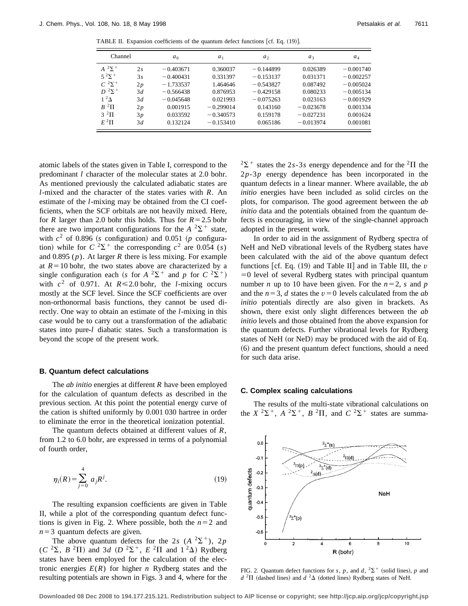TABLE II. Expansion coefficients of the quantum defect functions [cf. Eq.  $(19)$ ].

| Channel            |    | $a_0$       | a <sub>1</sub> | a <sub>2</sub> | $a_3$       | $a_4$       |
|--------------------|----|-------------|----------------|----------------|-------------|-------------|
| $A^2\Sigma^+$      | 2s | $-0.403671$ | 0.360037       | $-0.144899$    | 0.026389    | $-0.001740$ |
| $5^{2} \Sigma^{+}$ | 3s | $-0.400431$ | 0.331397       | $-0.153137$    | 0.031371    | $-0.002257$ |
| $C^{2}\Sigma^{+}$  | 2p | $-1.733537$ | 1.464646       | $-0.543827$    | 0.087492    | $-0.005024$ |
| $D^2\Sigma^+$      | 3d | $-0.566438$ | 0.876953       | $-0.429158$    | 0.080233    | $-0.005134$ |
| $1^2\Lambda$       | 3d | $-0.045648$ | 0.021993       | $-0.075263$    | 0.023163    | $-0.001929$ |
| $B^2\Pi$           | 2p | 0.001915    | $-0.299014$    | 0.143160       | $-0.023678$ | 0.001334    |
| $3^{2}$ H          | 3p | 0.033592    | $-0.340573$    | 0.159178       | $-0.027231$ | 0.001624    |
| $E^2\Pi$           | 3d | 0.132124    | $-0.153410$    | 0.065186       | $-0.013974$ | 0.001081    |

atomic labels of the states given in Table I, correspond to the predominant *l* character of the molecular states at 2.0 bohr. As mentioned previously the calculated adiabatic states are *l*-mixed and the character of the states varies with *R*. An estimate of the *l*-mixing may be obtained from the CI coefficients, when the SCF orbitals are not heavily mixed. Here, for *R* larger than 2.0 bohr this holds. Thus for  $R=2.5$  bohr there are two important configurations for the  $A^2\Sigma^+$  state, with  $c^2$  of 0.896 (*s* configuration) and 0.051 (*p* configuration) while for  $C^2\Sigma^+$  the corresponding  $c^2$  are 0.054 (*s*) and 0.895 (*p*). At larger *R* there is less mixing. For example at  $R=10$  bohr, the two states above are characterized by a single configuration each (*s* for  $A^2\Sigma^+$  and *p* for  $C^2\Sigma^+$ ) with  $c^2$  of 0.971. At  $R \le 2.0$  bohr, the *l*-mixing occurs mostly at the SCF level. Since the SCF coefficients are over non-orthonormal basis functions, they cannot be used directly. One way to obtain an estimate of the *l*-mixing in this case would be to carry out a transformation of the adiabatic states into pure-*l* diabatic states. Such a transformation is beyond the scope of the present work.

## **B. Quantum defect calculations**

The *ab initio* energies at different *R* have been employed for the calculation of quantum defects as described in the previous section. At this point the potential energy curve of the cation is shifted uniformly by 0.001 030 hartree in order to eliminate the error in the theoretical ionization potential.

The quantum defects obtained at different values of *R*, from 1.2 to 6.0 bohr, are expressed in terms of a polynomial of fourth order,

$$
\eta_i(R) = \sum_{j=0}^{4} a_j R^j.
$$
 (19)

The resulting expansion coefficients are given in Table II, while a plot of the corresponding quantum defect functions is given in Fig. 2. Where possible, both the  $n=2$  and  $n=3$  quantum defects are given.

The above quantum defects for the 2*s* ( $A^2\Sigma^+$ ), 2*p*  $(C^{2}\Sigma, B^{2}\Pi)$  and 3*d*  $(D^{2}\Sigma^{+}, E^{2}\Pi)$  and  $1^{2}\Delta)$  Rydberg states have been employed for the calculation of the electronic energies  $E(R)$  for higher *n* Rydberg states and the resulting potentials are shown in Figs. 3 and 4, where for the  $2\Sigma^+$  states the 2*s*-3*s* energy dependence and for the <sup>2</sup> $\Pi$  the 2*p*-3*p* energy dependence has been incorporated in the quantum defects in a linear manner. Where available, the *ab initio* energies have been included as solid circles on the plots, for comparison. The good agreement between the *ab initio* data and the potentials obtained from the quantum defects is encouraging, in view of the single-channel approach adopted in the present work.

In order to aid in the assignment of Rydberg spectra of NeH and NeD vibrational levels of the Rydberg states have been calculated with the aid of the above quantum defect functions  $\left[ cf. Eq. (19) \right]$  and Table II] and in Table III, the *v*  $=0$  level of several Rydberg states with principal quantum number *n* up to 10 have been given. For the  $n=2$ , *s* and *p* and the  $n=3$ , *d* states the  $v=0$  levels calculated from the *ab initio* potentials directly are also given in brackets. As shown, there exist only slight differences between the *ab initio* levels and those obtained from the above expansion for the quantum defects. Further vibrational levels for Rydberg states of NeH (or NeD) may be produced with the aid of Eq. ~6! and the present quantum defect functions, should a need for such data arise.

## **C. Complex scaling calculations**

The results of the multi-state vibrational calculations on the  $X^2\Sigma^+$ ,  $A^2\Sigma^+$ ,  $B^2\Pi$ , and  $C^2\Sigma^+$  states are summa-



FIG. 2. Quantum defect functions for *s*, *p*, and *d*,  ${}^{2}\Sigma^{+}$  (solid lines), *p* and  $d^{2}\Pi$  (dashed lines) and  $d^{2}\Delta$  (dotted lines) Rydberg states of NeH.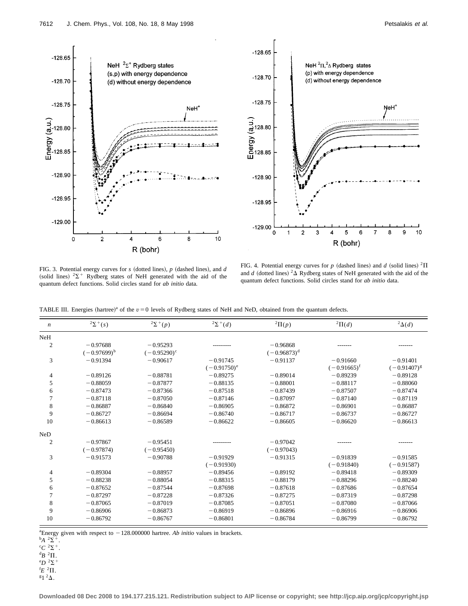



FIG. 3. Potential energy curves for *s* (dotted lines), *p* (dashed lines), and *d* (solid lines)  $2\Sigma$ <sup>+</sup> Rydberg states of NeH generated with the aid of the quantum defect functions. Solid circles stand for *ab initio* data.

FIG. 4. Potential energy curves for  $p$  (dashed lines) and  $d$  (solid lines) <sup>2</sup> $\Pi$ and *d* (dotted lines)  ${}^{2}\Delta$  Rydberg states of NeH generated with the aid of the quantum defect functions. Solid circles stand for *ab initio* data.

TABLE III. Energies (hartree)<sup>a</sup> of the  $v = 0$  levels of Rydberg states of NeH and NeD, obtained from the quantum defects.

| $\boldsymbol{n}$ | $2\Sigma^{+}(s)$               | $2\Sigma^{+}(p)$                   | ${}^{2}\Sigma^{+}(d)$        | ${}^2\Pi(p)$                 | ${}^2\Pi(d)$                   | <sup>2</sup> $\Delta(d)$       |
|------------------|--------------------------------|------------------------------------|------------------------------|------------------------------|--------------------------------|--------------------------------|
| NeH              |                                |                                    |                              |                              |                                |                                |
| $\overline{2}$   | $-0.97688$<br>$(-0.97699)^{b}$ | $-0.95293$<br>$(-0.95290)^{\circ}$ |                              | $-0.96868$<br>$(-0.96873)^d$ |                                |                                |
| 3                | $-0.91394$                     | $-0.90617$                         | $-0.91745$<br>$(-0.91750)^e$ | $-0.91137$                   | $-0.91660$<br>$(-0.91665)^{f}$ | $-0.91401$<br>$(-0.91407)^{g}$ |
| 4                | $-0.89126$                     | $-0.88781$                         | $-0.89275$                   | $-0.89014$                   | $-0.89239$                     | $-0.89128$                     |
| 5                | $-0.88059$                     | $-0.87877$                         | $-0.88135$                   | $-0.88001$                   | $-0.88117$                     | $-0.88060$                     |
| 6                | $-0.87473$                     | $-0.87366$                         | $-0.87518$                   | $-0.87439$                   | $-0.87507$                     | $-0.87474$                     |
| 7                | $-0.87118$                     | $-0.87050$                         | $-0.87146$                   | $-0.87097$                   | $-0.87140$                     | $-0.87119$                     |
| $\,$ 8 $\,$      | $-0.86887$                     | $-0.86840$                         | $-0.86905$                   | $-0.86872$                   | $-0.86901$                     | $-0.86887$                     |
| 9                | $-0.86727$                     | $-0.86694$                         | $-0.86740$                   | $-0.86717$                   | $-0.86737$                     | $-0.86727$                     |
| 10               | $-0.86613$                     | $-0.86589$                         | $-0.86622$                   | $-0.86605$                   | $-0.86620$                     | $-0.86613$                     |
| NeD              |                                |                                    |                              |                              |                                |                                |
| 2                | $-0.97867$                     | $-0.95451$                         |                              | $-0.97042$                   |                                |                                |
|                  | $(-0.97874)$                   | $(-0.95450)$                       |                              | $(-0.97043)$                 |                                |                                |
| 3                | $-0.91573$                     | $-0.90788$                         | $-0.91929$                   | $-0.91315$                   | $-0.91839$                     | $-0.91585$                     |
|                  |                                |                                    | $(-0.91930)$                 |                              | $(-0.91840)$                   | $(-0.91587)$                   |
| 4                | $-0.89304$                     | $-0.88957$                         | $-0.89456$                   | $-0.89192$                   | $-0.89418$                     | $-0.89309$                     |
| 5                | $-0.88238$                     | $-0.88054$                         | $-0.88315$                   | $-0.88179$                   | $-0.88296$                     | $-0.88240$                     |
| 6                | $-0.87652$                     | $-0.87544$                         | $-0.87698$                   | $-0.87618$                   | $-0.87686$                     | $-0.87654$                     |
| 7                | $-0.87297$                     | $-0.87228$                         | $-0.87326$                   | $-0.87275$                   | $-0.87319$                     | $-0.87298$                     |
| $\,$ 8 $\,$      | $-0.87065$                     | $-0.87019$                         | $-0.87085$                   | $-0.87051$                   | $-0.87080$                     | $-0.87066$                     |
| 9                | $-0.86906$                     | $-0.86873$                         | $-0.86919$                   | $-0.86896$                   | $-0.86916$                     | $-0.86906$                     |
| 10               | $-0.86792$                     | $-0.86767$                         | $-0.86801$                   | $-0.86784$                   | $-0.86799$                     | $-0.86792$                     |

<sup>a</sup> Energy given with respect to  $-128.000000$  hartree. *Ab initio* values in brackets.

 $^{b}A$   $^{2}\Sigma^{+}$ .

 ${}^{\mathrm{c}}C$   ${}^2\Sigma$ <sup>+</sup>.

 ${}^{\text{d}}B$  <sup>2</sup> $\Pi$ .

 $^{\rm e}D$   $^{\rm 2}\Sigma^+$ 

 $E^2\Pi$ .

 $^{\mathrm{g}}$ 1<sup>2</sup> $\Delta$ .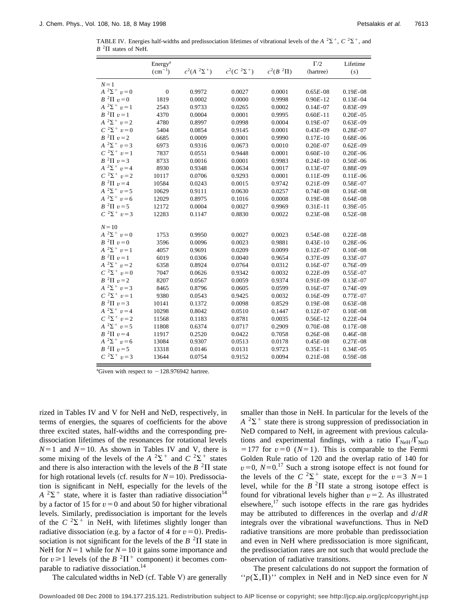TABLE IV. Energies half-widths and predissociation lifetimes of vibrational levels of the  $A^2\Sigma^+$ ,  $C^2\Sigma^+$ , and  $B<sup>2</sup>$ II states of NeH.

|                         | Energy <sup>a</sup> |                       |                    |               | $\Gamma/2$   | Lifetime     |
|-------------------------|---------------------|-----------------------|--------------------|---------------|--------------|--------------|
|                         | $(cm^{-1})$         | $c^2(A^{-2}\Sigma^+)$ | $c^2(C^2\Sigma^+)$ | $c^2(B^2\Pi)$ | (hartree)    | (s)          |
| $N=1$                   |                     |                       |                    |               |              |              |
| $A^2\Sigma^+$ $v=0$     | $\boldsymbol{0}$    | 0.9972                | 0.0027             | 0.0001        | $0.65E - 08$ | $0.19E - 08$ |
| $B^2\Pi v=0$            | 1819                | 0.0002                | 0.0000             | 0.9998        | $0.90E - 12$ | $0.13E - 04$ |
| $A^2\Sigma^+$ $v=1$     | 2543                | 0.9733                | 0.0265             | 0.0002        | $0.14E - 07$ | $0.83E - 09$ |
| $B^2\Pi v=1$            | 4370                | 0.0004                | 0.0001             | 0.9995        | $0.60E - 11$ | $0.20E - 05$ |
| $A^2\Sigma^+$ $v=2$     | 4780                | 0.8997                | 0.0998             | 0.0004        | $0.19E - 07$ | $0.63E - 09$ |
| $C^{2}\Sigma^{+} v = 0$ | 5404                | 0.0854                | 0.9145             | 0.0001        | $0.43E - 09$ | $0.28E - 07$ |
| $B^2\Pi v=2$            | 6685                | 0.0009                | 0.0001             | 0.9990        | $0.17E - 10$ | $0.68E - 06$ |
| $A^{2}\Sigma^{+} v = 3$ | 6973                | 0.9316                | 0.0673             | 0.0010        | $0.20E - 07$ | $0.62E - 09$ |
| $C^{2}\Sigma^{+} v = 1$ | 7837                | 0.0551                | 0.9448             | 0.0001        | $0.60E - 10$ | $0.20E - 06$ |
| $B^2\Pi v=3$            | 8733                | 0.0016                | 0.0001             | 0.9983        | $0.24E - 10$ | $0.50E - 06$ |
| $A^2\Sigma^+$ $v=4$     | 8930                | 0.9348                | 0.0634             | 0.0017        | $0.13E - 07$ | $0.88E - 09$ |
| $C^{2}\Sigma^{+} v = 2$ | 10117               | 0.0706                | 0.9293             | 0.0001        | $0.11E - 09$ | $0.11E - 06$ |
| $B^2\Pi v=4$            | 10584               | 0.0243                | 0.0015             | 0.9742        | $0.21E - 09$ | $0.58E - 07$ |
| $A^2\Sigma^+$ $v=5$     | 10629               | 0.9111                | 0.0630             | 0.0257        | $0.74E - 08$ | $0.16E - 08$ |
| $A^2\Sigma^+$ $v=6$     | 12029               | 0.8975                | 0.1016             | 0.0008        | $0.19E - 08$ | $0.64E - 08$ |
| $B^{2}\Pi v=5$          | 12172               | 0.0004                | 0.0027             | 0.9969        | $0.31E - 11$ | $0.39E - 05$ |
| $C^{2}\Sigma^{+} v = 3$ | 12283               | 0.1147                | 0.8830             | 0.0022        | $0.23E - 08$ | $0.52E - 08$ |
| $N=10$                  |                     |                       |                    |               |              |              |
| $A^{2}\Sigma^{+} v = 0$ | 1753                | 0.9950                | 0.0027             | 0.0023        | $0.54E - 08$ | $0.22E - 08$ |
| $B^2\Pi v=0$            | 3596                | 0.0096                | 0.0023             | 0.9881        | $0.43E - 10$ | $0.28E - 06$ |
| $A^{-2}\Sigma^+$ $v=1$  | 4057                | 0.9691                | 0.0209             | 0.0099        | $0.12E - 07$ | $0.10E - 08$ |
| $B^2\Pi v=1$            | 6019                | 0.0306                | 0.0040             | 0.9654        | $0.37E - 09$ | $0.33E - 07$ |
| $A^2\Sigma^+ v = 2$     | 6358                | 0.8924                | 0.0764             | 0.0312        | $0.16E - 07$ | $0.76E - 09$ |
| $C^{2}\Sigma^{+} v = 0$ | 7047                | 0.0626                | 0.9342             | 0.0032        | $0.22E - 09$ | $0.55E - 07$ |
| $B^2\Pi v=2$            | 8207                | 0.0567                | 0.0059             | 0.9374        | $0.91E - 09$ | $0.13E - 07$ |
| $A^{2}\Sigma^{+} v = 3$ | 8465                | 0.8796                | 0.0605             | 0.0599        | $0.16E - 07$ | $0.74E - 09$ |
| $C^{2}\Sigma^{+} v = 1$ | 9380                | 0.0543                | 0.9425             | 0.0032        | $0.16E - 09$ | $0.77E - 07$ |
| $B^2\Pi v=3$            | 10141               | 0.1372                | 0.0098             | 0.8529        | $0.19E - 08$ | $0.63E - 08$ |
| $A^2\Sigma^+$ $v=4$     | 10298               | 0.8042                | 0.0510             | 0.1447        | $0.12E - 07$ | $0.10E - 08$ |
| $C^{2}\Sigma^{+} v = 2$ | 11568               | 0.1183                | 0.8781             | 0.0035        | $0.56E - 12$ | $0.22E - 04$ |
| $A^2\Sigma^+$ $v=5$     | 11808               | 0.6374                | 0.0717             | 0.2909        | $0.70E - 08$ | $0.17E - 08$ |
| $B^2\Pi v=4$            | 11917               | 0.2520                | 0.0422             | 0.7058        | $0.26E - 08$ | $0.46E - 08$ |
| $A^2\Sigma^+$ $v=6$     | 13084               | 0.9307                | 0.0513             | 0.0178        | $0.45E - 08$ | $0.27E - 08$ |
| $B^2\Pi v=5$            | 13318               | 0.0146                | 0.0131             | 0.9723        | $0.35E - 11$ | $0.34E - 05$ |
| $C^{2}\Sigma^{+} v = 3$ | 13644               | 0.0754                | 0.9152             | 0.0094        | $0.21E - 08$ | $0.59E - 08$ |

<sup>a</sup>Given with respect to  $-128.976942$  hartree.

rized in Tables IV and V for NeH and NeD, respectively, in terms of energies, the squares of coefficients for the above three excited states, half-widths and the corresponding predissociation lifetimes of the resonances for rotational levels  $N=1$  and  $N=10$ . As shown in Tables IV and V, there is some mixing of the levels of the  $A^{2}\Sigma^{+}$  and  $C^{2}\Sigma^{+}$  states and there is also interaction with the levels of the  $B<sup>2</sup>\Pi$  state for high rotational levels (cf. results for  $N=10$ ). Predissociation is significant in NeH, especially for the levels of the  $A^{2}\Sigma^{+}$  state, where it is faster than radiative dissociation<sup>14</sup> by a factor of 15 for  $v=0$  and about 50 for higher vibrational levels. Similarly, predissociation is important for the levels of the  $C^2\Sigma^+$  in NeH, with lifetimes slightly longer than radiative dissociation (e.g. by a factor of 4 for  $v=0$ ). Predissociation is not significant for the levels of the  $B<sup>2</sup>\Pi$  state in NeH for  $N=1$  while for  $N=10$  it gains some importance and for  $v \ge 1$  levels (of the  $B^2\Pi^+$  component) it becomes comparable to radiative dissociation.<sup>14</sup>

The calculated widths in NeD  $(cf.$  Table V) are generally

smaller than those in NeH. In particular for the levels of the  $A^{2}\Sigma^{+}$  state there is strong suppression of predissociation in NeD compared to NeH, in agreement with previous calculations and experimental findings, with a ratio  $\Gamma_{\text{NeH}}/\Gamma_{\text{NeD}}$  $=177$  for  $v=0$  ( $N=1$ ). This is comparable to the Fermi Golden Rule ratio of 120 and the overlap ratio of 140 for  $v=0$ ,  $N=0$ .<sup>17</sup> Such a strong isotope effect is not found for the levels of the  $C^2\Sigma^+$  state, except for the  $v=3$   $N=1$ level, while for the  $B<sup>2</sup>\Pi$  state a strong isotope effect is found for vibrational levels higher than  $v = 2$ . As illustrated elsewhere, $17$  such isotope effects in the rare gas hydrides may be attributed to differences in the overlap and *d*/*dR* integrals over the vibrational wavefunctions. Thus in NeD radiative transitions are more probable than predissociation and even in NeH where predissociation is more significant, the predissociation rates are not such that would preclude the observation of radiative transitions.

The present calculations do not support the formation of  $\lq\lq p(\Sigma,\Pi)$ " complex in NeH and in NeD since even for *N*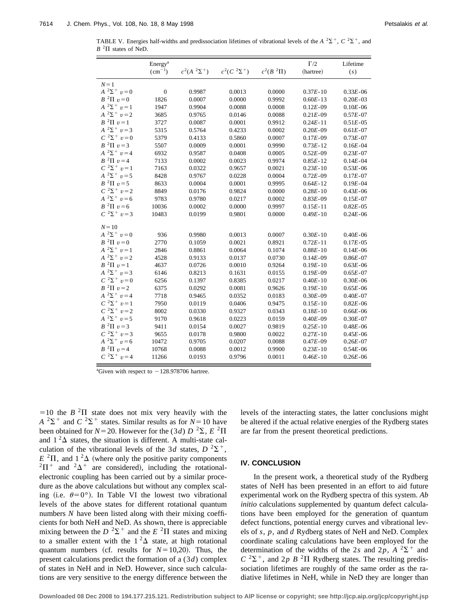TABLE V. Energies half-widths and predissociation lifetimes of vibrational levels of the  $A^2\Sigma^+$ ,  $C^2\Sigma^+$ , and  $B<sup>2</sup>$ II states of NeD.

|                         | Energy <sup>a</sup> |                    |                    |               | $\Gamma/2$   | Lifetime      |
|-------------------------|---------------------|--------------------|--------------------|---------------|--------------|---------------|
|                         | $(cm^{-1})$         | $c^2(A^2\Sigma^+)$ | $c^2(C^2\Sigma^+)$ | $c^2(B^2\Pi)$ | (hartree)    | (s)           |
| $N=1$                   |                     |                    |                    |               |              |               |
| $A^{2}\Sigma^{+} v = 0$ | $\boldsymbol{0}$    | 0.9987             | 0.0013             | 0.0000        | $0.37E - 10$ | $0.33E - 06$  |
| $B^2\Pi v=0$            | 1826                | 0.0007             | 0.0000             | 0.9992        | $0.60E - 13$ | $0.20E - 03$  |
| $A^2\Sigma^+$ $v=1$     | 1947                | 0.9904             | 0.0088             | 0.0008        | $0.12E - 09$ | $0.10E - 06$  |
| $A^{2}\Sigma^{+} v = 2$ | 3685                | 0.9765             | 0.0146             | 0.0088        | $0.21E - 09$ | $0.57E - 07$  |
| $B^2\Pi v=1$            | 3727                | 0.0087             | 0.0001             | 0.9912        | $0.24E - 11$ | $0.51E - 05$  |
| $A^{2}\Sigma^{+} v = 3$ | 5315                | 0.5764             | 0.4233             | 0.0002        | $0.20E - 09$ | $0.61E - 07$  |
| $C^{2}\Sigma^{+} v = 0$ | 5379                | 0.4133             | 0.5860             | 0.0007        | $0.17E - 09$ | $0.73E - 07$  |
| $B^2\Pi v=3$            | 5507                | 0.0009             | 0.0001             | 0.9990        | $0.73E - 12$ | $0.16E - 04$  |
| $A^2\Sigma^+$ $v=4$     | 6932                | 0.9587             | 0.0408             | 0.0005        | $0.52E - 09$ | $0.23E - 07$  |
| $B^2\Pi v=4$            | 7133                | 0.0002             | 0.0023             | 0.9974        | $0.85E - 12$ | $0.14E - 04$  |
| $C^{2}\Sigma^{+} v = 1$ | 7163                | 0.0322             | 0.9657             | 0.0021        | $0.23E - 10$ | $0.53E - 06$  |
| $A^{2}\Sigma^{+} v = 5$ | 8428                | 0.9767             | 0.0228             | 0.0004        | $0.72E - 09$ | $0.17E - 07$  |
| $B^2\Pi v=5$            | 8633                | 0.0004             | 0.0001             | 0.9995        | $0.64E - 12$ | $0.19E - 04$  |
| $C^{2}\Sigma^{+} v = 2$ | 8849                | 0.0176             | 0.9824             | 0.0000        | $0.28E - 10$ | $0.43E - 06$  |
| $A^2\Sigma^+$ $v=6$     | 9783                | 0.9780             | 0.0217             | 0.0002        | $0.83E - 09$ | $0.15E - 07$  |
| $B^2\Pi v=6$            | 10036               | 0.0002             | 0.0000             | 0.9997        | $0.15E - 11$ | $0.82E - 05$  |
| $C^{2}\Sigma^{+} v = 3$ | 10483               | 0.0199             | 0.9801             | 0.0000        | $0.49E - 10$ | $0.24E - 06$  |
| $N=10$                  |                     |                    |                    |               |              |               |
| $A^{2}\Sigma^{+} v = 0$ | 936                 | 0.9980             | 0.0013             | 0.0007        | $0.30E - 10$ | $0.40E - 06$  |
| $B^2\Pi v=0$            | 2770                | 0.1059             | 0.0021             | 0.8921        | $0.72E - 11$ | $0.17E - 0.5$ |
| $A^2\Sigma^+$ $v=1$     | 2846                | 0.8861             | 0.0064             | 0.1074        | $0.88E - 10$ | $0.14E - 06$  |
| $A^{2}\Sigma^{+} v = 2$ | 4528                | 0.9133             | 0.0137             | 0.0730        | $0.14E - 09$ | $0.86E - 07$  |
| $B^2\Pi v=1$            | 4637                | 0.0726             | 0.0010             | 0.9264        | $0.19E - 10$ | $0.63E - 06$  |
| $A^2\Sigma^+$ $v=3$     | 6146                | 0.8213             | 0.1631             | 0.0155        | $0.19E - 09$ | $0.65E - 07$  |
| $C^{2}\Sigma^{+} v = 0$ | 6256                | 0.1397             | 0.8385             | 0.0217        | $0.40E - 10$ | $0.30E - 06$  |
| $B^2\Pi v=2$            | 6375                | 0.0292             | 0.0081             | 0.9626        | $0.19E - 10$ | $0.65E - 06$  |
| $A^{2}\Sigma^{+} v = 4$ | 7718                | 0.9465             | 0.0352             | 0.0183        | $0.30E - 09$ | $0.40E - 07$  |
| $C^{2}\Sigma^{+} v = 1$ | 7950                | 0.0119             | 0.0406             | 0.9475        | $0.15E - 10$ | $0.82E - 06$  |
| $C^{2}\Sigma^{+} v = 2$ | 8002                | 0.0330             | 0.9327             | 0.0343        | $0.18E - 10$ | $0.66E - 06$  |
| $A^{2}\Sigma^{+} v = 5$ | 9170                | 0.9618             | 0.0223             | 0.0159        | $0.40E - 09$ | $0.30E - 07$  |
| $B^{2}\Pi v=3$          | 9411                | 0.0154             | 0.0027             | 0.9819        | $0.25E - 10$ | $0.48E - 06$  |
| $C^{2}\Sigma^{+} v = 3$ | 9655                | 0.0178             | 0.9800             | 0.0022        | $0.27E - 10$ | $0.45E - 06$  |
| $A^2\Sigma^+$ $v=6$     | 10472               | 0.9705             | 0.0207             | 0.0088        | $0.47E - 09$ | $0.26E - 07$  |
| $B^2\Pi v=4$            | 10768               | 0.0088             | 0.0012             | 0.9900        | $0.23E - 10$ | $0.54E - 06$  |
| $C^2\Sigma^+$ $v=4$     | 11266               | 0.0193             | 0.9796             | 0.0011        | $0.46E - 10$ | $0.26E - 06$  |

<sup>a</sup>Given with respect to  $-128.978706$  hartree.

 $=10$  the *B* <sup>2</sup> $\Pi$  state does not mix very heavily with the  $A^{2}\Sigma^{+}$  and  $C^{2}\Sigma^{+}$  states. Similar results as for  $N=10$  have been obtained for  $N=20$ . However for the (3*d*)  $D^{2}\Sigma$ ,  $E^{2}\Pi$ and  $1^2\Delta$  states, the situation is different. A multi-state calculation of the vibrational levels of the 3*d* states,  $D^2\Sigma^+$ ,  $E^{2}\Pi$ , and  $1^{2}\Delta$  (where only the positive parity components  ${}^{2}\Pi^{+}$  and  ${}^{2}\Delta^{+}$  are considered), including the rotationalelectronic coupling has been carried out by a similar procedure as the above calculations but without any complex scaling (i.e.  $\theta = 0^{\circ}$ ). In Table VI the lowest two vibrational levels of the above states for different rotational quantum numbers *N* have been listed along with their mixing coefficients for both NeH and NeD. As shown, there is appreciable mixing between the  $D^2\Sigma^+$  and the  $E^2\Pi$  states and mixing to a smaller extent with the  $1^2\Delta$  state, at high rotational quantum numbers (cf. results for  $N=10,20$ ). Thus, the present calculations predict the formation of a (3*d*) complex of states in NeH and in NeD. However, since such calculations are very sensitive to the energy difference between the levels of the interacting states, the latter conclusions might be altered if the actual relative energies of the Rydberg states are far from the present theoretical predictions.

# **IV. CONCLUSION**

In the present work, a theoretical study of the Rydberg states of NeH has been presented in an effort to aid future experimental work on the Rydberg spectra of this system. *Ab initio* calculations supplemented by quantum defect calculations have been employed for the generation of quantum defect functions, potential energy curves and vibrational levels of *s*, *p*, and *d* Rydberg states of NeH and NeD. Complex coordinate scaling calculations have been employed for the determination of the widths of the 2*s* and 2*p*,  $A^{-2}\Sigma^{+}$  and  $C^{2}\Sigma^{+}$ , and 2*p B*<sup>2</sup> $\Pi$  Rydberg states. The resulting predissociation lifetimes are roughly of the same order as the radiative lifetimes in NeH, while in NeD they are longer than